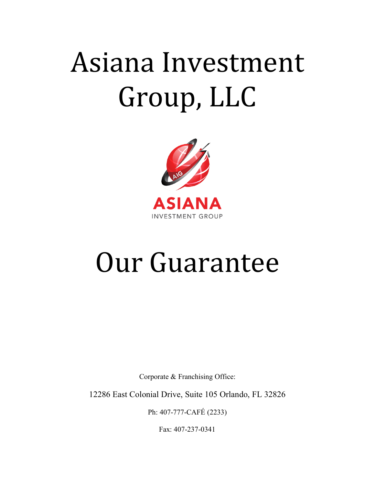## Asiana Investment Group, LLC



## Our Guarantee

Corporate & Franchising Office:

12286 East Colonial Drive, Suite 105 Orlando, FL 32826

Ph: 407-777-CAFÉ (2233)

Fax: 407-237-0341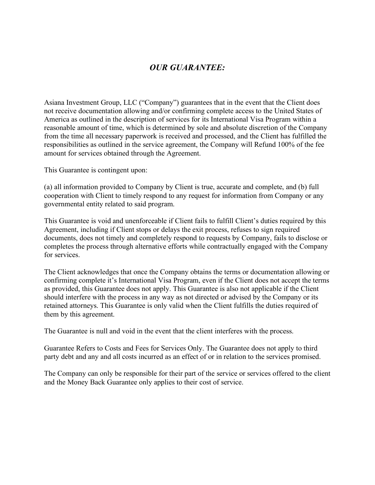## *OUR GUARANTEE:*

Asiana Investment Group, LLC ("Company") guarantees that in the event that the Client does not receive documentation allowing and/or confirming complete access to the United States of America as outlined in the description of services for its International Visa Program within a reasonable amount of time, which is determined by sole and absolute discretion of the Company from the time all necessary paperwork is received and processed, and the Client has fulfilled the responsibilities as outlined in the service agreement, the Company will Refund 100% of the fee amount for services obtained through the Agreement.

This Guarantee is contingent upon:

(a) all information provided to Company by Client is true, accurate and complete, and (b) full cooperation with Client to timely respond to any request for information from Company or any governmental entity related to said program.

This Guarantee is void and unenforceable if Client fails to fulfill Client's duties required by this Agreement, including if Client stops or delays the exit process, refuses to sign required documents, does not timely and completely respond to requests by Company, fails to disclose or completes the process through alternative efforts while contractually engaged with the Company for services.

The Client acknowledges that once the Company obtains the terms or documentation allowing or confirming complete it's International Visa Program, even if the Client does not accept the terms as provided, this Guarantee does not apply. This Guarantee is also not applicable if the Client should interfere with the process in any way as not directed or advised by the Company or its retained attorneys. This Guarantee is only valid when the Client fulfills the duties required of them by this agreement.

The Guarantee is null and void in the event that the client interferes with the process.

Guarantee Refers to Costs and Fees for Services Only. The Guarantee does not apply to third party debt and any and all costs incurred as an effect of or in relation to the services promised.

The Company can only be responsible for their part of the service or services offered to the client and the Money Back Guarantee only applies to their cost of service.